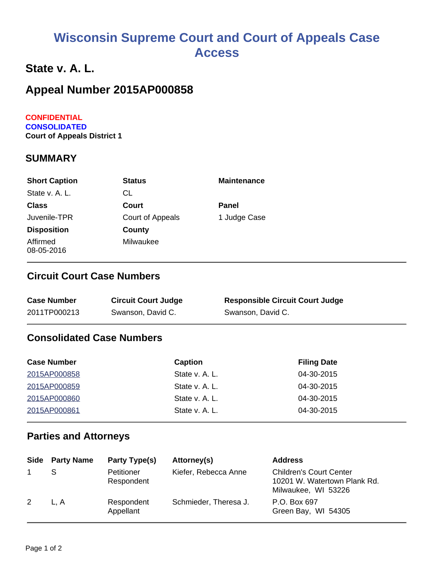# **Wisconsin Supreme Court and Court of Appeals Case Access**

### **State v. A. L.**

## **Appeal Number 2015AP000858**

#### **CONFIDENTIAL CONSOLIDATED Court of Appeals District 1**

#### **SUMMARY**

| <b>Short Caption</b>   | <b>Status</b>    | <b>Maintenance</b> |
|------------------------|------------------|--------------------|
| State v. A. L.         | СL               |                    |
| <b>Class</b>           | Court            | Panel              |
| Juvenile-TPR           | Court of Appeals | 1 Judge Case       |
| <b>Disposition</b>     | County           |                    |
| Affirmed<br>08-05-2016 | Milwaukee        |                    |

#### **Circuit Court Case Numbers**

| <b>Case Number</b> | <b>Circuit Court Judge</b> | <b>Responsible Circuit Court Judge</b> |
|--------------------|----------------------------|----------------------------------------|
| 2011TP000213       | Swanson, David C.          | Swanson, David C.                      |

#### **Consolidated Case Numbers**

| <b>Case Number</b> | Caption        | <b>Filing Date</b> |
|--------------------|----------------|--------------------|
| 2015AP000858       | State v. A. L. | 04-30-2015         |
| 2015AP000859       | State v. A. L. | 04-30-2015         |
| 2015AP000860       | State v. A. L. | 04-30-2015         |
| 2015AP000861       | State v. A. L. | 04-30-2015         |

#### **Parties and Attorneys**

|   | <b>Side</b> Party Name | Party Type(s)                   | Attorney(s)           | <b>Address</b>                                                                        |
|---|------------------------|---------------------------------|-----------------------|---------------------------------------------------------------------------------------|
|   |                        | <b>Petitioner</b><br>Respondent | Kiefer, Rebecca Anne  | <b>Children's Court Center</b><br>10201 W. Watertown Plank Rd.<br>Milwaukee, WI 53226 |
| 2 | L.A                    | Respondent<br>Appellant         | Schmieder, Theresa J. | P.O. Box 697<br>Green Bay, WI 54305                                                   |